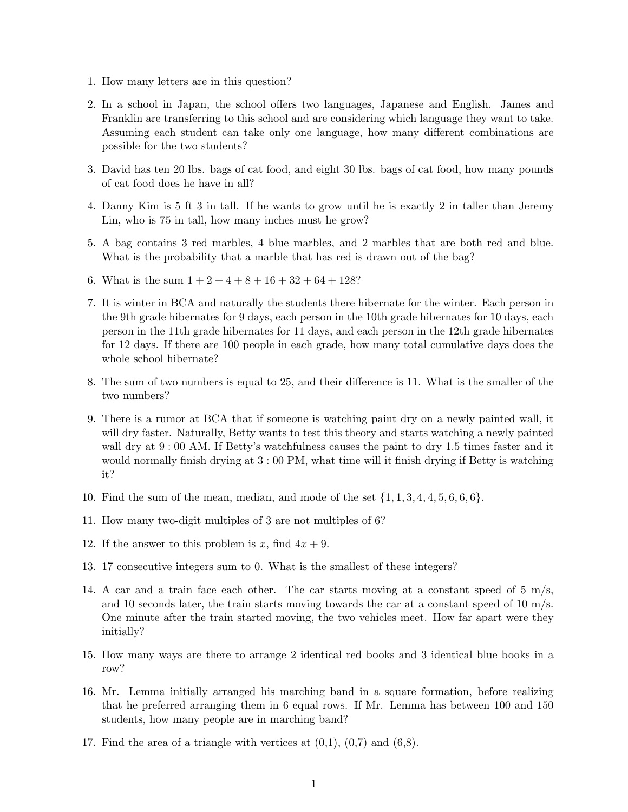- 1. How many letters are in this question?
- 2. In a school in Japan, the school offers two languages, Japanese and English. James and Franklin are transferring to this school and are considering which language they want to take. Assuming each student can take only one language, how many different combinations are possible for the two students?
- 3. David has ten 20 lbs. bags of cat food, and eight 30 lbs. bags of cat food, how many pounds of cat food does he have in all?
- 4. Danny Kim is 5 ft 3 in tall. If he wants to grow until he is exactly 2 in taller than Jeremy Lin, who is 75 in tall, how many inches must he grow?
- 5. A bag contains 3 red marbles, 4 blue marbles, and 2 marbles that are both red and blue. What is the probability that a marble that has red is drawn out of the bag?
- 6. What is the sum  $1 + 2 + 4 + 8 + 16 + 32 + 64 + 128$ ?
- 7. It is winter in BCA and naturally the students there hibernate for the winter. Each person in the 9th grade hibernates for 9 days, each person in the 10th grade hibernates for 10 days, each person in the 11th grade hibernates for 11 days, and each person in the 12th grade hibernates for 12 days. If there are 100 people in each grade, how many total cumulative days does the whole school hibernate?
- 8. The sum of two numbers is equal to 25, and their difference is 11. What is the smaller of the two numbers?
- 9. There is a rumor at BCA that if someone is watching paint dry on a newly painted wall, it will dry faster. Naturally, Betty wants to test this theory and starts watching a newly painted wall dry at  $9:00$  AM. If Betty's watchfulness causes the paint to dry 1.5 times faster and it would normally finish drying at  $3:00 \text{ PM}$ , what time will it finish drying if Betty is watching it?
- 10. Find the sum of the mean, median, and mode of the set  $\{1, 1, 3, 4, 4, 5, 6, 6, 6\}$ .
- 11. How many two-digit multiples of 3 are not multiples of 6?
- 12. If the answer to this problem is x, find  $4x + 9$ .
- 13. 17 consecutive integers sum to 0. What is the smallest of these integers?
- 14. A car and a train face each other. The car starts moving at a constant speed of  $5 \text{ m/s}$ , and 10 seconds later, the train starts moving towards the car at a constant speed of  $10 \text{ m/s}$ . One minute after the train started moving, the two vehicles meet. How far apart were they initially?
- 15. How many ways are there to arrange 2 identical red books and 3 identical blue books in a row?
- 16. Mr. Lemma initially arranged his marching band in a square formation, before realizing that he preferred arranging them in 6 equal rows. If Mr. Lemma has between 100 and 150 students, how many people are in marching band?
- 17. Find the area of a triangle with vertices at  $(0,1)$ ,  $(0,7)$  and  $(6,8)$ .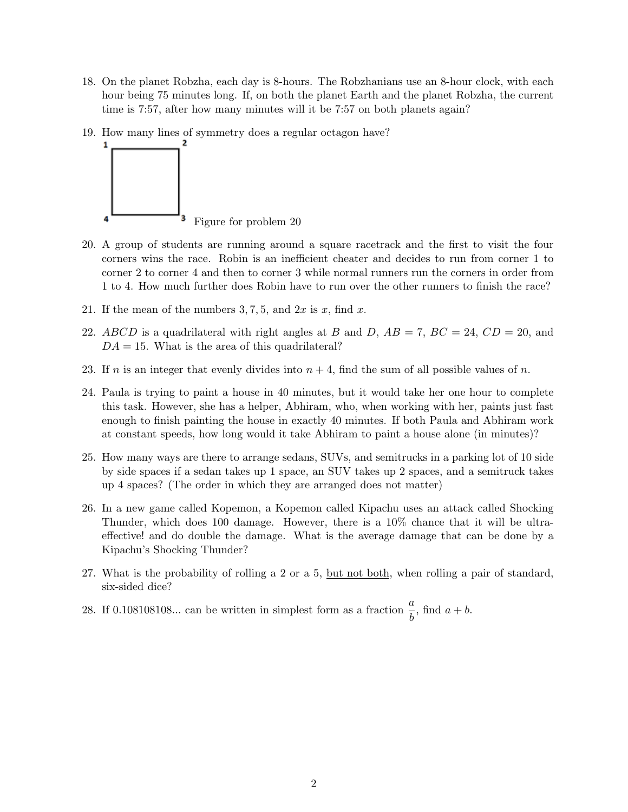- 18. On the planet Robzha, each day is 8-hours. The Robzhanians use an 8-hour clock, with each hour being 75 minutes long. If, on both the planet Earth and the planet Robzha, the current time is 7:57, after how many minutes will it be 7:57 on both planets again?
- 19. How many lines of symmetry does a regular octagon have?



- 20. A group of students are running around a square racetrack and the first to visit the four corners wins the race. Robin is an inefficient cheater and decides to run from corner 1 to corner 2 to corner 4 and then to corner 3 while normal runners run the corners in order from 1 to 4. How much further does Robin have to run over the other runners to finish the race?
- 21. If the mean of the numbers  $3, 7, 5$ , and  $2x$  is x, find x.
- 22. ABCD is a quadrilateral with right angles at B and D,  $AB = 7$ ,  $BC = 24$ ,  $CD = 20$ , and  $DA = 15$ . What is the area of this quadrilateral?
- 23. If n is an integer that evenly divides into  $n + 4$ , find the sum of all possible values of n.
- 24. Paula is trying to paint a house in 40 minutes, but it would take her one hour to complete this task. However, she has a helper, Abhiram, who, when working with her, paints just fast enough to finish painting the house in exactly 40 minutes. If both Paula and Abhiram work at constant speeds, how long would it take Abhiram to paint a house alone (in minutes)?
- 25. How many ways are there to arrange sedans, SUVs, and semitrucks in a parking lot of 10 side by side spaces if a sedan takes up 1 space, an SUV takes up 2 spaces, and a semitruck takes up 4 spaces? (The order in which they are arranged does not matter)
- 26. In a new game called Kopemon, a Kopemon called Kipachu uses an attack called Shocking Thunder, which does 100 damage. However, there is a 10% chance that it will be ultraeffective! and do double the damage. What is the average damage that can be done by a Kipachu's Shocking Thunder?
- 27. What is the probability of rolling a 2 or a 5, but not both, when rolling a pair of standard, six-sided dice?
- 28. If 0.108108108... can be written in simplest form as a fraction  $\frac{a}{b}$ , find  $a + b$ .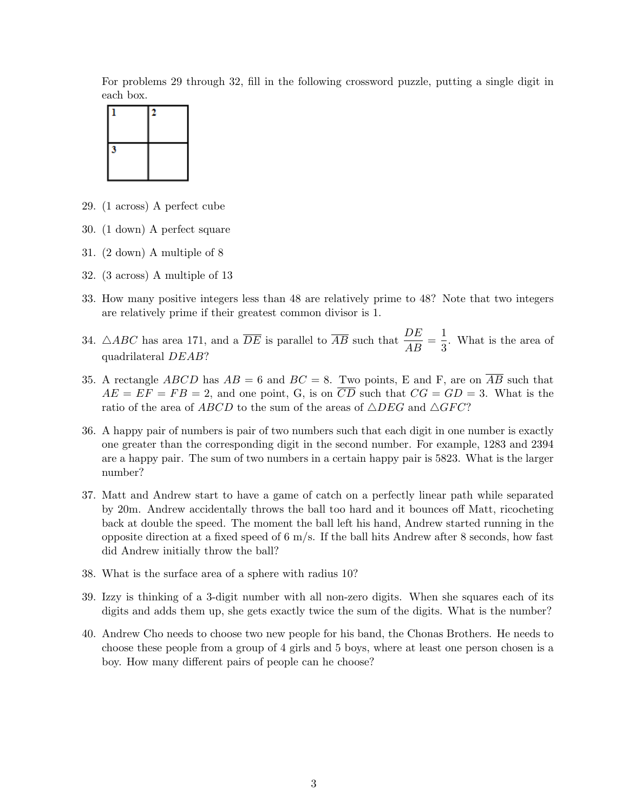For problems 29 through 32, fill in the following crossword puzzle, putting a single digit in each box.



- 29. (1 across) A perfect cube
- 30. (1 down) A perfect square
- 31. (2 down) A multiple of 8
- 32. (3 across) A multiple of 13
- 33. How many positive integers less than 48 are relatively prime to 48? Note that two integers are relatively prime if their greatest common divisor is 1.
- 34.  $\triangle ABC$  has area 171, and a  $\overline{DE}$  is parallel to  $\overline{AB}$  such that  $\frac{DE}{AB} = \frac{1}{3}$  $\frac{1}{3}$ . What is the area of quadrilateral DEAB?
- 35. A rectangle ABCD has  $AB = 6$  and  $BC = 8$ . Two points, E and F, are on  $\overline{AB}$  such that  $AE = EF = FB = 2$ , and one point, G, is on  $\overline{CD}$  such that  $CG = GD = 3$ . What is the ratio of the area of ABCD to the sum of the areas of  $\triangle DEG$  and  $\triangle GFC$ ?
- 36. A happy pair of numbers is pair of two numbers such that each digit in one number is exactly one greater than the corresponding digit in the second number. For example, 1283 and 2394 are a happy pair. The sum of two numbers in a certain happy pair is 5823. What is the larger number?
- 37. Matt and Andrew start to have a game of catch on a perfectly linear path while separated by 20m. Andrew accidentally throws the ball too hard and it bounces off Matt, ricocheting back at double the speed. The moment the ball left his hand, Andrew started running in the opposite direction at a fixed speed of  $6 \text{ m/s}$ . If the ball hits Andrew after 8 seconds, how fast did Andrew initially throw the ball?
- 38. What is the surface area of a sphere with radius 10?
- 39. Izzy is thinking of a 3-digit number with all non-zero digits. When she squares each of its digits and adds them up, she gets exactly twice the sum of the digits. What is the number?
- 40. Andrew Cho needs to choose two new people for his band, the Chonas Brothers. He needs to choose these people from a group of 4 girls and 5 boys, where at least one person chosen is a boy. How many different pairs of people can he choose?